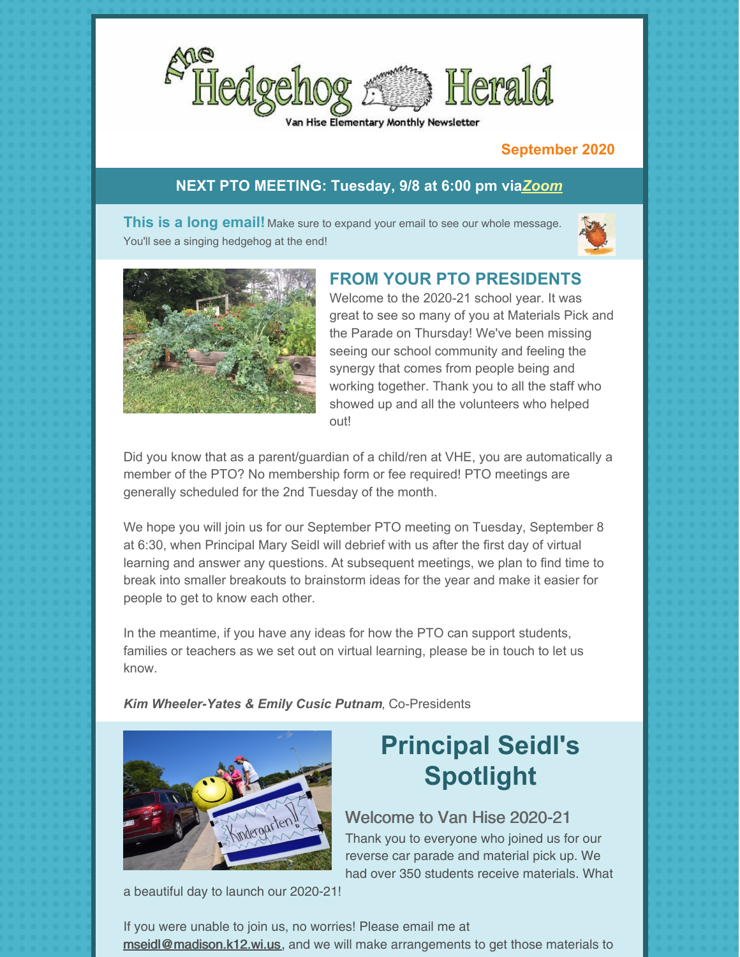

#### Hise Elementary Monthly Newsletter

#### **September 2020**

#### **NEXT PTO MEETING: Tuesday, 9/8 at 6:00 pm via***[Zoom](https://zoom.us/j/99185982164#success)*

**This is a long email!** Make sure to expand your email to see our whole message. You'll see a singing hedgehog at the end!





### **FROM YOUR PTO PRESIDENTS**

Welcome to the 2020-21 school year. It was great to see so many of you at Materials Pick and the Parade on Thursday! We've been missing seeing our school community and feeling the synergy that comes from people being and working together. Thank you to all the staff who showed up and all the volunteers who helped out!

Did you know that as a parent/guardian of a child/ren at VHE, you are automatically a member of the PTO? No membership form or fee required! PTO meetings are generally scheduled for the 2nd Tuesday of the month.

We hope you will join us for our September PTO meeting on Tuesday, September 8 at 6:30, when Principal Mary Seidl will debrief with us after the first day of virtual learning and answer any questions. At subsequent meetings, we plan to find time to break into smaller breakouts to brainstorm ideas for the year and make it easier for people to get to know each other.

In the meantime, if you have any ideas for how the PTO can support students, families or teachers as we set out on virtual learning, please be in touch to let us know.

*Kim [Wheeler-Yates](mailto:prez@vanhisepto.org) & Emily Cusic Putnam*, Co-Presidents



# **Principal Seidl's Spotlight**

### Welcome to Van Hise 2020-21

Thank you to everyone who joined us for our reverse car parade and material pick up. We had over 350 students receive materials. What

a beautiful day to launch our 2020-21!

If you were unable to join us, no worries! Please email me at [mseidl@madison.k12.wi.us](mailto:mseidl@madison.k12.wi.us), and we will make arrangements to get those materials to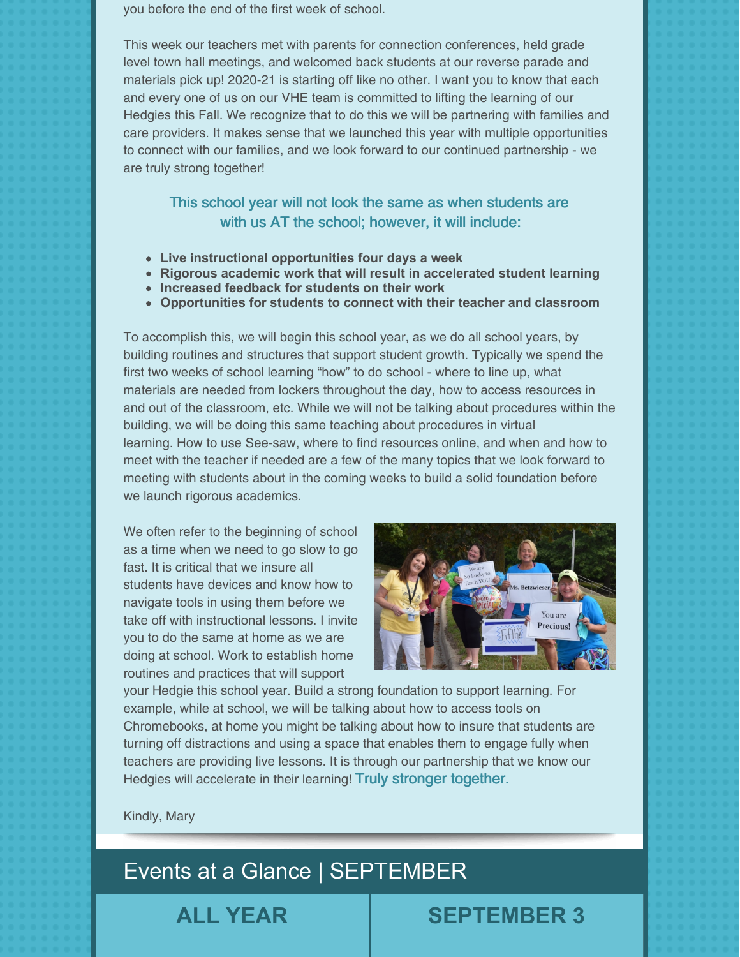you before the end of the first week of school.

This week our teachers met with parents for connection conferences, held grade level town hall meetings, and welcomed back students at our reverse parade and materials pick up! 2020-21 is starting off like no other. I want you to know that each and every one of us on our VHE team is committed to lifting the learning of our Hedgies this Fall. We recognize that to do this we will be partnering with families and care providers. It makes sense that we launched this year with multiple opportunities to connect with our families, and we look forward to our continued partnership - we are truly strong together!

#### This school year will not look the same as when students are with us AT the school; however, it will include:

- **Live instructional opportunities four days a week**
- **Rigorous academic work that will result in accelerated student learning**
- **Increased feedback for students on their work**
- **Opportunities for students to connect with their teacher and classroom**

To accomplish this, we will begin this school year, as we do all school years, by building routines and structures that support student growth. Typically we spend the first two weeks of school learning "how" to do school - where to line up, what materials are needed from lockers throughout the day, how to access resources in and out of the classroom, etc. While we will not be talking about procedures within the building, we will be doing this same teaching about procedures in virtual learning. How to use See-saw, where to find resources online, and when and how to meet with the teacher if needed are a few of the many topics that we look forward to meeting with students about in the coming weeks to build a solid foundation before we launch rigorous academics.

We often refer to the beginning of school as a time when we need to go slow to go fast. It is critical that we insure all students have devices and know how to navigate tools in using them before we take off with instructional lessons. I invite you to do the same at home as we are doing at school. Work to establish home routines and practices that will support



your Hedgie this school year. Build a strong foundation to support learning. For example, while at school, we will be talking about how to access tools on Chromebooks, at home you might be talking about how to insure that students are turning off distractions and using a space that enables them to engage fully when teachers are providing live lessons. It is through our partnership that we know our Hedgies will accelerate in their learning! Truly stronger together.

Kindly, Mary

# Events at a Glance | SEPTEMBER

## **ALL YEAR SEPTEMBER 3**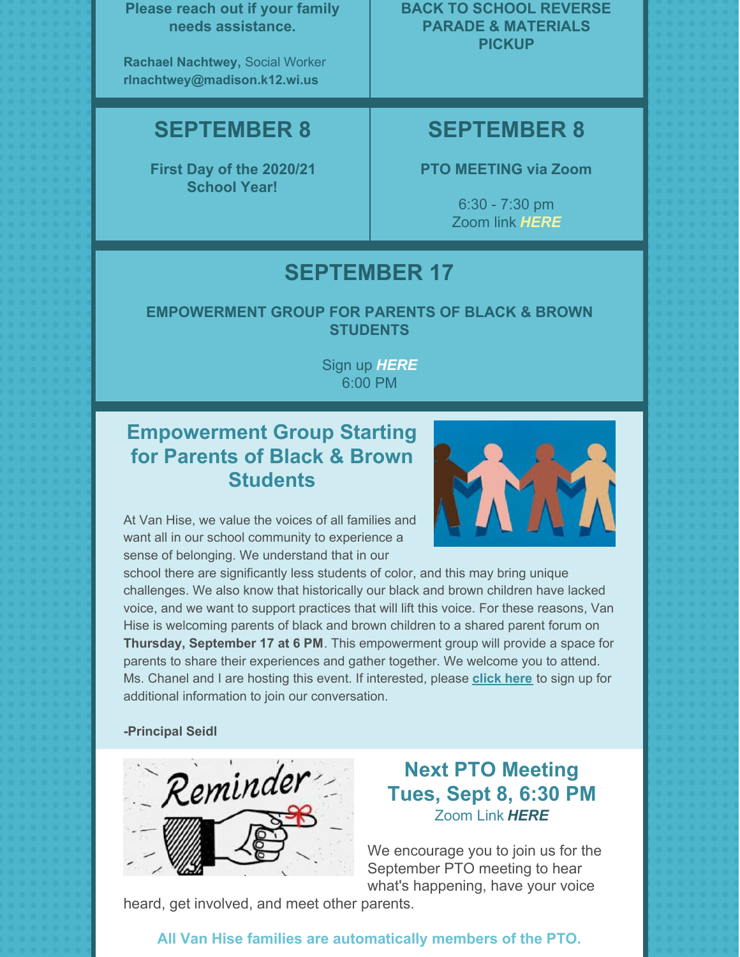**Please reach out if your family needs assistance.**

**Rachael Nachtwey,** Social Worker **[rlnachtwey@madison.k12.wi.us](mailto:rlnachtwey@madison.k12.wi.us)**

## **SEPTEMBER 8**

**First Day of the [2020/21](https://enrollment.madison.k12.wi.us/) [School](https://enrollment.madison.k12.wi.us/) Year!**

**BACK TO SCHOOL REVERSE PARADE & MATERIALS PICKUP**

## **SEPTEMBER 8**

**PTO MEETING via Zoom**

6:30 - 7:30 pm Zoom link *[HERE](https://zoom.us/j/99185982164#success)*

## **SEPTEMBER 17**

**EMPOWERMENT GROUP FOR PARENTS OF BLACK & BROWN STUDENTS**

> Sign up *[HERE](https://docs.google.com/forms/d/e/1FAIpQLSdQd-y29BBnsk6Oc9VWW7IELMvb9KZoGLgQQ8zvCCalNpsTsA/viewform?usp=sf_link)* 6:00 PM

## **Empowerment Group Starting for Parents of Black & Brown Students**



At Van Hise, we value the voices of all families and want all in our school community to experience a sense of belonging. We understand that in our

school there are significantly less students of color, and this may bring unique challenges. We also know that historically our black and brown children have lacked voice, and we want to support practices that will lift this voice. For these reasons, Van Hise is welcoming parents of black and brown children to a shared parent forum on **Thursday, September 17 at 6 PM**. This empowerment group will provide a space for parents to share their experiences and gather together. We welcome you to attend. Ms. Chanel and I are hosting this event. If interested, please **[click](https://docs.google.com/forms/d/e/1FAIpQLSdQd-y29BBnsk6Oc9VWW7IELMvb9KZoGLgQQ8zvCCalNpsTsA/viewform?usp=sf_link) here** to sign up for additional information to join our conversation.

**-Principal Seidl**



## **Next PTO Meeting Tues, Sept 8, 6:30 PM** Zoom Link *[HERE](https://zoom.us/j/99185982164#success)*

We encourage you to join us for the September PTO meeting to hear what's happening, have your voice

heard, get involved, and meet other parents.

## **All Van Hise families are automatically members of the PTO.**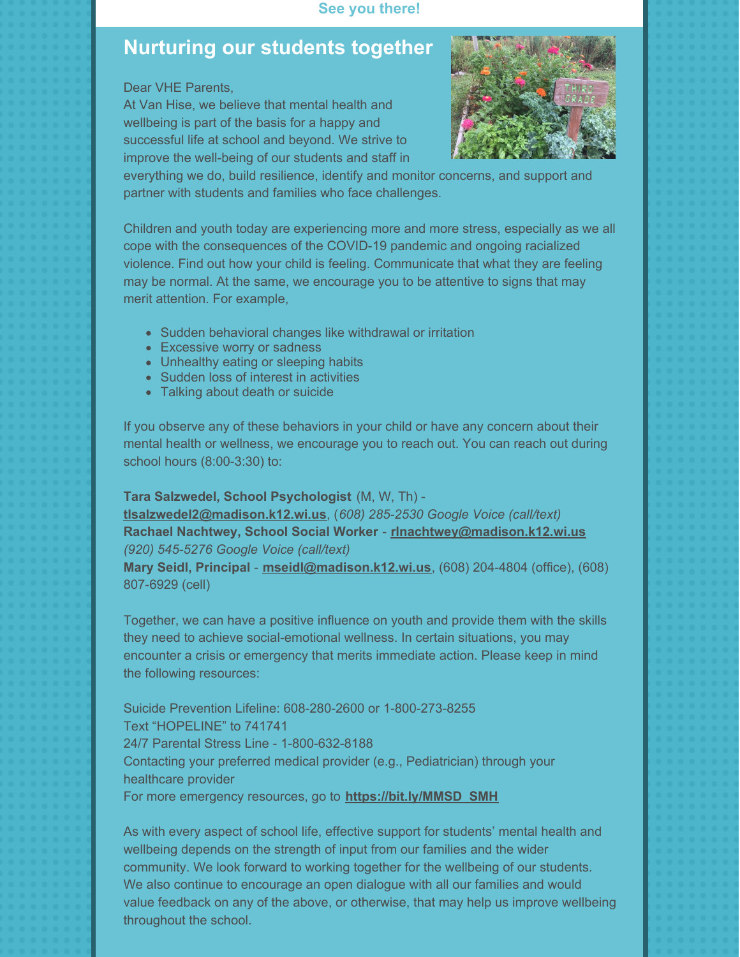#### **See you there!**

## **Nurturing our students together**

Dear VHE Parents,

At Van Hise, we believe that mental health and wellbeing is part of the basis for a happy and successful life at school and beyond. We strive to improve the well-being of our students and staff in



everything we do, build resilience, identify and monitor concerns, and support and partner with students and families who face challenges.

Children and youth today are experiencing more and more stress, especially as we all cope with the consequences of the COVID-19 pandemic and ongoing racialized violence. Find out how your child is feeling. Communicate that what they are feeling may be normal. At the same, we encourage you to be attentive to signs that may merit attention. For example,

- Sudden behavioral changes like withdrawal or irritation
- Excessive worry or sadness
- Unhealthy eating or sleeping habits
- Sudden loss of interest in activities
- Talking about death or suicide

If you observe any of these behaviors in your child or have any concern about their mental health or wellness, we encourage you to reach out. You can reach out during school hours (8:00-3:30) to:

#### **Tara Salzwedel, School Psychologist** (M, W, Th) -

**[tlsalzwedel2@madison.k12.wi.us](mailto:tlsalzwedel2@madison.k12.wi.us)**, (*608) 285-2530 Google Voice (call/text)* **Rachael Nachtwey, School Social Worker** - **[rlnachtwey@madison.k12.wi.us](mailto:rlnachtwey@madison.k12.wi.us)** *(920) 545-5276 Google Voice (call/text)*

**Mary Seidl, Principal** - **[mseidl@madison.k12.wi.us](mailto:mseidl@madison.k12.wi.us)**, (608) 204-4804 (office), (608) 807-6929 (cell)

Together, we can have a positive influence on youth and provide them with the skills they need to achieve social-emotional wellness. In certain situations, you may encounter a crisis or emergency that merits immediate action. Please keep in mind the following resources:

Suicide Prevention Lifeline: 608-280-2600 or 1-800-273-8255 Text "HOPELINE" to 741741 24/7 Parental Stress Line - 1-800-632-8188 Contacting your preferred medical provider (e.g., Pediatrician) through your healthcare provider For more emergency resources, go to **[https://bit.ly/MMSD\\_SMH](https://bit.ly/MMSD_SMH)**

As with every aspect of school life, effective support for students' mental health and wellbeing depends on the strength of input from our families and the wider community. We look forward to working together for the wellbeing of our students. We also continue to encourage an open dialogue with all our families and would value feedback on any of the above, or otherwise, that may help us improve wellbeing throughout the school.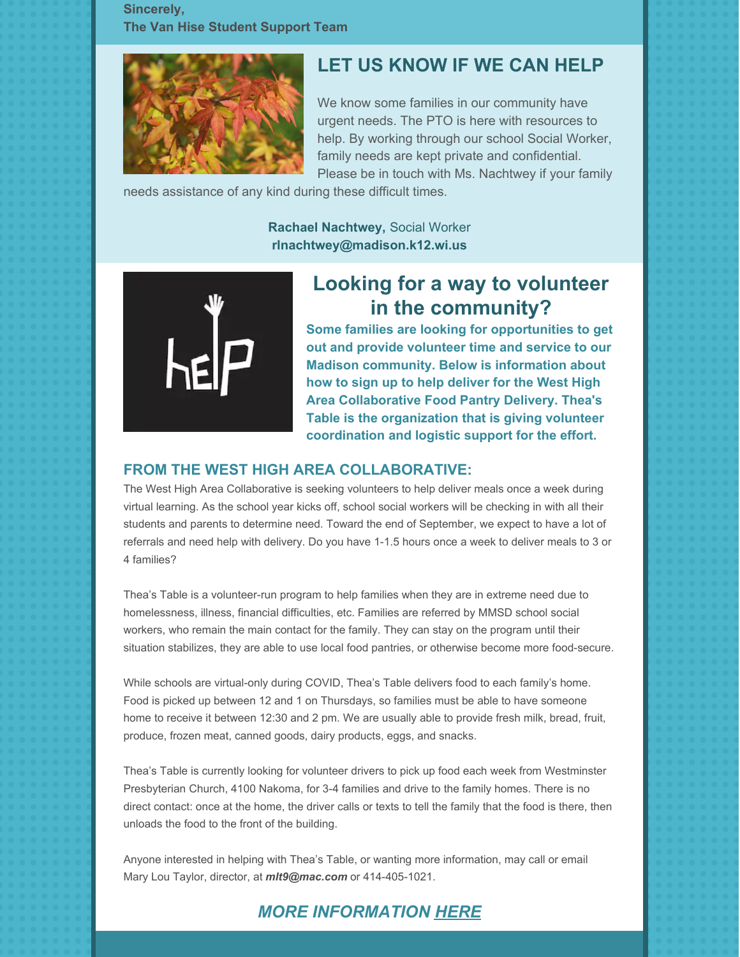**Sincerely, The Van Hise Student Support Team**



## **LET US KNOW IF WE CAN HELP**

We know some families in our community have urgent needs. The PTO is here with resources to help. By working through our school Social Worker, family needs are kept private and confidential. Please be in touch with Ms. Nachtwey if your family

needs assistance of any kind during these difficult times.

**Rachael Nachtwey,** Social Worker **[rlnachtwey@madison.k12.wi.us](mailto:rlnachtwey@madison.k12.wi.us)**



## **Looking for a way to volunteer in the community?**

**Some families are looking for opportunities to get out and provide volunteer time and service to our Madison community. Below is information about how to sign up to help deliver for the West High Area Collaborative Food Pantry Delivery. Thea's Table is the organization that is giving volunteer coordination and logistic support for the effort.**

#### **FROM THE WEST HIGH AREA COLLABORATIVE:**

The West High Area Collaborative is seeking volunteers to help deliver meals once a week during virtual learning. As the school year kicks off, school social workers will be checking in with all their students and parents to determine need. Toward the end of September, we expect to have a lot of referrals and need help with delivery. Do you have 1-1.5 hours once a week to deliver meals to 3 or 4 families?

Thea's Table is a volunteer-run program to help families when they are in extreme need due to homelessness, illness, financial difficulties, etc. Families are referred by MMSD school social workers, who remain the main contact for the family. They can stay on the program until their situation stabilizes, they are able to use local food pantries, or otherwise become more food-secure.

While schools are virtual-only during COVID, Thea's Table delivers food to each family's home. Food is picked up between 12 and 1 on Thursdays, so families must be able to have someone home to receive it between 12:30 and 2 pm. We are usually able to provide fresh milk, bread, fruit, produce, frozen meat, canned goods, dairy products, eggs, and snacks.

Thea's Table is currently looking for volunteer drivers to pick up food each week from Westminster Presbyterian Church, 4100 Nakoma, for 3-4 families and drive to the family homes. There is no direct contact: once at the home, the driver calls or texts to tell the family that the food is there, then unloads the food to the front of the building.

Anyone interested in helping with Thea's Table, or wanting more information, may call or email Mary Lou Taylor, director, at *[mlt9@mac.com](mailto:mlt9@mac.com)* or 414-405-1021.

### *MORE [INFORMATION](https://files.constantcontact.com/a35ed802501/a60466de-640d-4ba9-9a0b-db1660c28ca5.pdf) [HERE](https://files.constantcontact.com/a35ed802501/a60466de-640d-4ba9-9a0b-db1660c28ca5.pdf)*